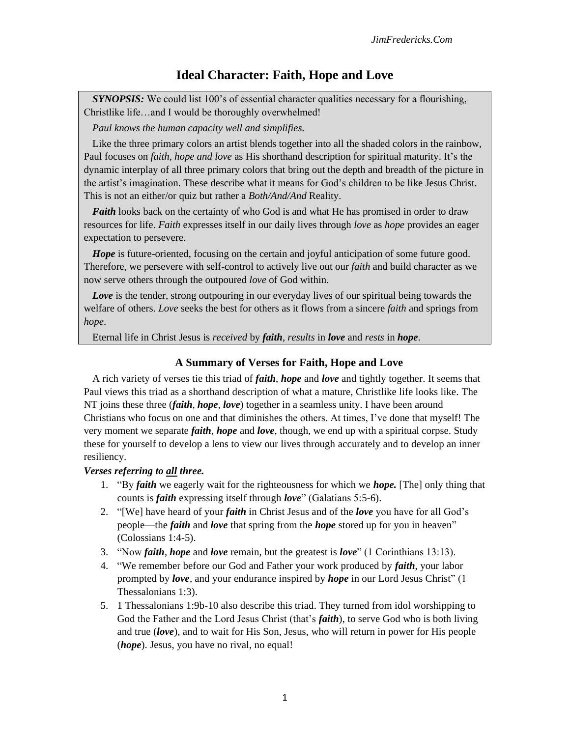## **Ideal Character: Faith, Hope and Love**

**SYNOPSIS:** We could list 100's of essential character qualities necessary for a flourishing, Christlike life…and I would be thoroughly overwhelmed!

*Paul knows the human capacity well and simplifies.* 

Like the three primary colors an artist blends together into all the shaded colors in the rainbow, Paul focuses on *faith, hope and love* as His shorthand description for spiritual maturity. It's the dynamic interplay of all three primary colors that bring out the depth and breadth of the picture in the artist's imagination. These describe what it means for God's children to be like Jesus Christ. This is not an either/or quiz but rather a *Both/And/And* Reality.

*Faith* looks back on the certainty of who God is and what He has promised in order to draw resources for life. *Faith* expresses itself in our daily lives through *love* as *hope* provides an eager expectation to persevere.

*Hope* is future-oriented, focusing on the certain and joyful anticipation of some future good. Therefore, we persevere with self-control to actively live out our *faith* and build character as we now serve others through the outpoured *love* of God within.

*Love* is the tender, strong outpouring in our everyday lives of our spiritual being towards the welfare of others. *Love* seeks the best for others as it flows from a sincere *faith* and springs from *hope*.

Eternal life in Christ Jesus is *received* by *faith*, *results* in *love* and *rests* in *hope*.

### **A Summary of Verses for Faith, Hope and Love**

A rich variety of verses tie this triad of *faith*, *hope* and *love* and tightly together. It seems that Paul views this triad as a shorthand description of what a mature, Christlike life looks like. The NT joins these three (*faith, hope, love*) together in a seamless unity. I have been around Christians who focus on one and that diminishes the others. At times, I've done that myself! The very moment we separate *faith*, *hope* and *love*, though, we end up with a spiritual corpse. Study these for yourself to develop a lens to view our lives through accurately and to develop an inner resiliency.

### *Verses referring to all three.*

- 1. "By *faith* we eagerly wait for the righteousness for which we *hope.* [The] only thing that counts is *faith* expressing itself through *love*" (Galatians 5:5-6).
- 2. "[We] have heard of your *faith* in Christ Jesus and of the *love* you have for all God's people—the *faith* and *love* that spring from the *hope* stored up for you in heaven" (Colossians 1:4-5).
- 3. "Now *faith*, *hope* and *love* remain, but the greatest is *love*" (1 Corinthians 13:13).
- 4. "We remember before our God and Father your work produced by *faith*, your labor prompted by *love*, and your endurance inspired by *hope* in our Lord Jesus Christ" (1 Thessalonians 1:3).
- 5. 1 Thessalonians 1:9b-10 also describe this triad. They turned from idol worshipping to God the Father and the Lord Jesus Christ (that's *faith*), to serve God who is both living and true (*love*), and to wait for His Son, Jesus, who will return in power for His people (*hope*). Jesus, you have no rival, no equal!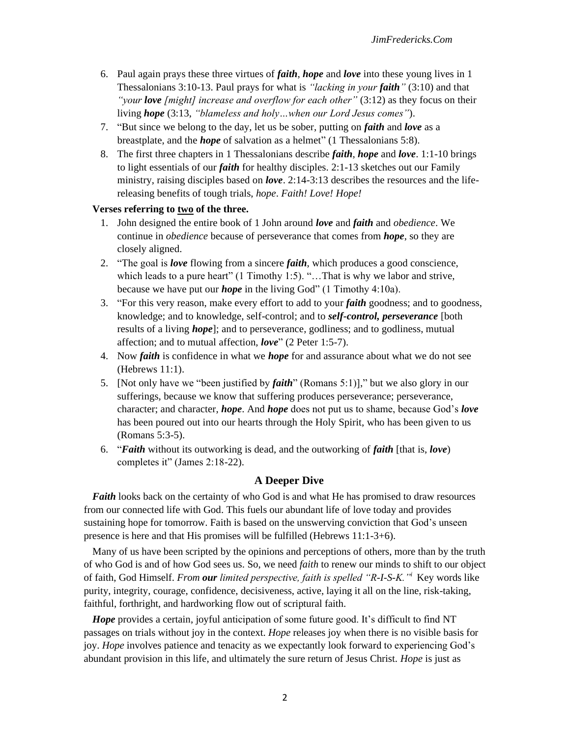- 6. Paul again prays these three virtues of *faith*, *hope* and *love* into these young lives in 1 Thessalonians 3:10-13. Paul prays for what is *"lacking in your faith"* (3:10) and that *"your love [might] increase and overflow for each other"* (3:12) as they focus on their living *hope* (3:13, *"blameless and holy…when our Lord Jesus comes"*).
- 7. "But since we belong to the day, let us be sober, putting on *faith* and *love* as a breastplate, and the *hope* of salvation as a helmet" (1 Thessalonians 5:8).
- 8. The first three chapters in 1 Thessalonians describe *faith*, *hope* and *love*. 1:1-10 brings to light essentials of our *faith* for healthy disciples. 2:1-13 sketches out our Family ministry, raising disciples based on *love*. 2:14-3:13 describes the resources and the lifereleasing benefits of tough trials, *hope*. *Faith! Love! Hope!*

#### **Verses referring to two of the three.**

- 1. John designed the entire book of 1 John around *love* and *faith* and *obedience*. We continue in *obedience* because of perseverance that comes from *hope*, so they are closely aligned.
- 2. "The goal is *love* flowing from a sincere *faith*, which produces a good conscience, which leads to a pure heart" (1 Timothy 1:5). "... That is why we labor and strive, because we have put our *hope* in the living God" (1 Timothy 4:10a).
- 3. "For this very reason, make every effort to add to your *faith* goodness; and to goodness, knowledge; and to knowledge, self-control; and to *self-control, perseverance* [both results of a living *hope*]; and to perseverance, godliness; and to godliness, mutual affection; and to mutual affection, *love*" (2 Peter 1:5-7).
- 4. Now *faith* is confidence in what we *hope* for and assurance about what we do not see (Hebrews 11:1).
- 5. [Not only have we "been justified by *faith*" (Romans 5:1)]," but we also glory in our sufferings, because we know that suffering produces perseverance; perseverance, character; and character, *hope*. And *hope* does not put us to shame, because God's *love* has been poured out into our hearts through the Holy Spirit, who has been given to us (Romans 5:3-5).
- 6. "*Faith* without its outworking is dead, and the outworking of *faith* [that is, *love*) completes it" (James 2:18-22).

#### **A Deeper Dive**

*Faith* looks back on the certainty of who God is and what He has promised to draw resources from our connected life with God. This fuels our abundant life of love today and provides sustaining hope for tomorrow. Faith is based on the unswerving conviction that God's unseen presence is here and that His promises will be fulfilled (Hebrews 11:1-3+6).

Many of us have been scripted by the opinions and perceptions of others, more than by the truth of who God is and of how God sees us. So, we need *faith* to renew our minds to shift to our object of faith, God Himself. *From our limited perspective, faith is spelled "R-I-S-K."<sup>i</sup>* Key words like purity, integrity, courage, confidence, decisiveness, active, laying it all on the line, risk-taking, faithful, forthright, and hardworking flow out of scriptural faith.

*Hope* provides a certain, joyful anticipation of some future good. It's difficult to find NT passages on trials without joy in the context. *Hope* releases joy when there is no visible basis for joy. *Hope* involves patience and tenacity as we expectantly look forward to experiencing God's abundant provision in this life, and ultimately the sure return of Jesus Christ. *Hope* is just as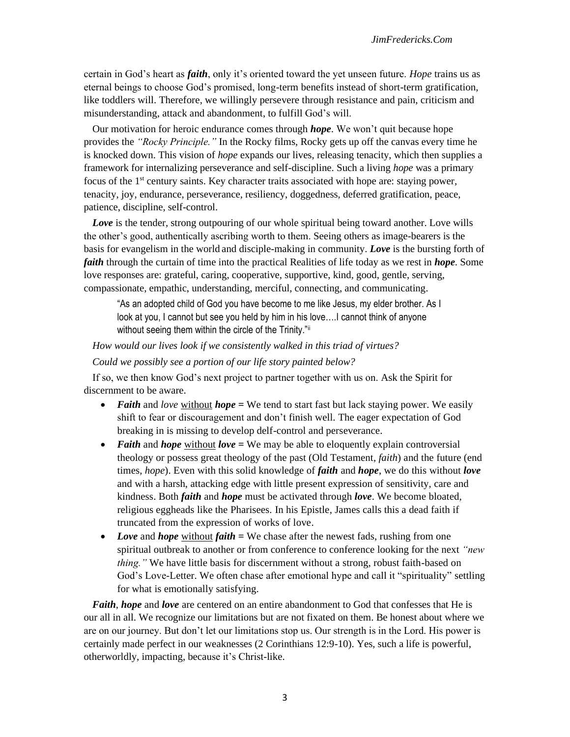certain in God's heart as *faith*, only it's oriented toward the yet unseen future. *Hope* trains us as eternal beings to choose God's promised, long-term benefits instead of short-term gratification, like toddlers will. Therefore, we willingly persevere through resistance and pain, criticism and misunderstanding, attack and abandonment, to fulfill God's will.

Our motivation for heroic endurance comes through *hope*. We won't quit because hope provides the *"Rocky Principle."* In the Rocky films, Rocky gets up off the canvas every time he is knocked down. This vision of *hope* expands our lives, releasing tenacity, which then supplies a framework for internalizing perseverance and self-discipline. Such a living *hope* was a primary focus of the 1st century saints. Key character traits associated with hope are: staying power, tenacity, joy, endurance, perseverance, resiliency, doggedness, deferred gratification, peace, patience, discipline, self-control.

**Love** is the tender, strong outpouring of our whole spiritual being toward another. Love wills the other's good, authentically ascribing worth to them. Seeing others as image-bearers is the basis for evangelism in the world and disciple-making in community. *Love* is the bursting forth of *faith* through the curtain of time into the practical Realities of life today as we rest in *hope*. Some love responses are: grateful, caring, cooperative, supportive, kind, good, gentle, serving, compassionate, empathic, understanding, merciful, connecting, and communicating.

"As an adopted child of God you have become to me like Jesus, my elder brother. As I look at you, I cannot but see you held by him in his love….I cannot think of anyone without seeing them within the circle of the Trinity."ii

*How would our lives look if we consistently walked in this triad of virtues?* 

*Could we possibly see a portion of our life story painted below?*

If so, we then know God's next project to partner together with us on. Ask the Spirit for discernment to be aware.

- *Faith* and *love* without *hope* = We tend to start fast but lack staying power. We easily shift to fear or discouragement and don't finish well. The eager expectation of God breaking in is missing to develop delf-control and perseverance.
- *Faith* and *hope* without *love* = We may be able to eloquently explain controversial theology or possess great theology of the past (Old Testament, *faith*) and the future (end times, *hope*). Even with this solid knowledge of *faith* and *hope*, we do this without *love*  and with a harsh, attacking edge with little present expression of sensitivity, care and kindness. Both *faith* and *hope* must be activated through *love*. We become bloated, religious eggheads like the Pharisees. In his Epistle, James calls this a dead faith if truncated from the expression of works of love.
- *Love* and *hope* without *faith* = We chase after the newest fads, rushing from one spiritual outbreak to another or from conference to conference looking for the next *"new thing."* We have little basis for discernment without a strong, robust faith-based on God's Love-Letter. We often chase after emotional hype and call it "spirituality" settling for what is emotionally satisfying.

*Faith*, *hope* and *love* are centered on an entire abandonment to God that confesses that He is our all in all. We recognize our limitations but are not fixated on them. Be honest about where we are on our journey. But don't let our limitations stop us. Our strength is in the Lord. His power is certainly made perfect in our weaknesses (2 Corinthians 12:9-10). Yes, such a life is powerful, otherworldly, impacting, because it's Christ-like.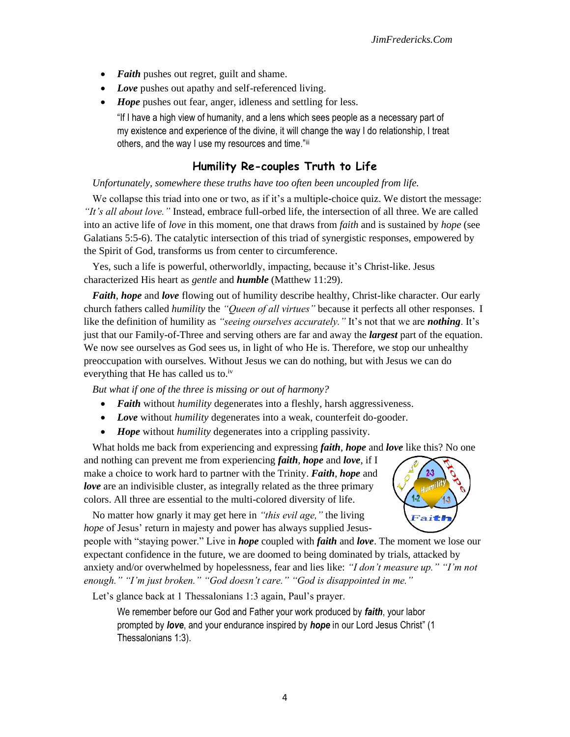- *Faith* pushes out regret, guilt and shame.
- *Love* pushes out apathy and self-referenced living.
- *Hope* pushes out fear, anger, idleness and settling for less.
	- "If I have a high view of humanity, and a lens which sees people as a necessary part of my existence and experience of the divine, it will change the way I do relationship, I treat others, and the way I use my resources and time."iii

# **Humility Re-couples Truth to Life**

*Unfortunately, somewhere these truths have too often been uncoupled from life.* 

We collapse this triad into one or two, as if it's a multiple-choice quiz. We distort the message: *"It's all about love."* Instead, embrace full-orbed life, the intersection of all three. We are called into an active life of *love* in this moment, one that draws from *faith* and is sustained by *hope* (see Galatians 5:5-6). The catalytic intersection of this triad of synergistic responses, empowered by the Spirit of God, transforms us from center to circumference.

Yes, such a life is powerful, otherworldly, impacting, because it's Christ-like. Jesus characterized His heart as *gentle* and *humble* (Matthew 11:29).

*Faith*, *hope* and *love* flowing out of humility describe healthy, Christ-like character. Our early church fathers called *humility* the *"Queen of all virtues"* because it perfects all other responses. I like the definition of humility as *"seeing ourselves accurately."* It's not that we are *nothing*. It's just that our Family-of-Three and serving others are far and away the *largest* part of the equation. We now see ourselves as God sees us, in light of who He is. Therefore, we stop our unhealthy preoccupation with ourselves. Without Jesus we can do nothing, but with Jesus we can do everything that He has called us to.<sup>iv</sup>

*But what if one of the three is missing or out of harmony?* 

- *Faith* without *humility* degenerates into a fleshly, harsh aggressiveness.
- *Love* without *humility* degenerates into a weak, counterfeit do-gooder.
- *Hope* without *humility* degenerates into a crippling passivity.

What holds me back from experiencing and expressing *faith*, *hope* and *love* like this? No one and nothing can prevent me from experiencing *faith*, *hope* and *love*, if I make a choice to work hard to partner with the Trinity. *Faith*, *hope* and *love* are an indivisible cluster, as integrally related as the three primary colors. All three are essential to the multi-colored diversity of life.

No matter how gnarly it may get here in *"this evil age,"* the living *hope* of Jesus' return in majesty and power has always supplied Jesus-

people with "staying power." Live in *hope* coupled with *faith* and *love*. The moment we lose our expectant confidence in the future, we are doomed to being dominated by trials, attacked by anxiety and/or overwhelmed by hopelessness, fear and lies like: *"I don't measure up." "I'm not enough." "I'm just broken." "God doesn't care." "God is disappointed in me."*

Let's glance back at 1 Thessalonians 1:3 again, Paul's prayer.

We remember before our God and Father your work produced by *faith*, your labor prompted by *love*, and your endurance inspired by *hope* in our Lord Jesus Christ" (1 Thessalonians 1:3).